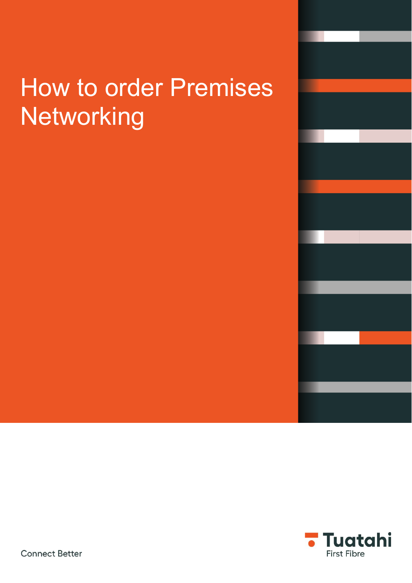# How to order Premises Networking



**Connect Better**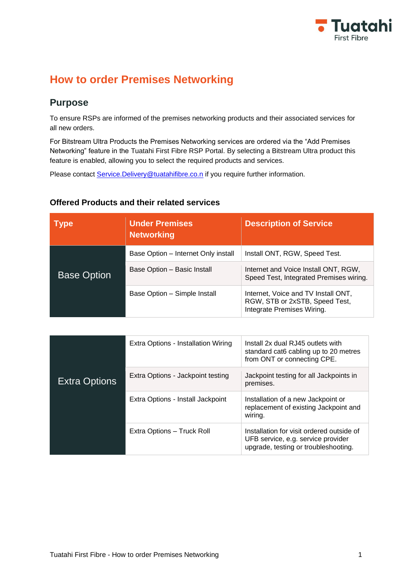

# **How to order Premises Networking**

# **Purpose**

To ensure RSPs are informed of the premises networking products and their associated services for all new orders.

For Bitstream Ultra Products the Premises Networking services are ordered via the "Add Premises Networking" feature in the Tuatahi First Fibre RSP Portal. By selecting a Bitstream Ultra product this feature is enabled, allowing you to select the required products and services.

Please contact [Service.Delivery@tuatahifibre.co.n](mailto:Service.Delivery@tuatahifibre.co.n) if you require further information.

#### **Offered Products and their related services**

| <b>Type</b>        | <b>Under Premises</b><br><b>Networking</b> | <b>Description of Service</b>                                                                       |
|--------------------|--------------------------------------------|-----------------------------------------------------------------------------------------------------|
|                    | Base Option – Internet Only install        | Install ONT, RGW, Speed Test.                                                                       |
| <b>Base Option</b> | Base Option - Basic Install                | Internet and Voice Install ONT, RGW,<br>Speed Test, Integrated Premises wiring.                     |
|                    | Base Option - Simple Install               | Internet, Voice and TV Install ONT,<br>RGW, STB or 2xSTB, Speed Test,<br>Integrate Premises Wiring. |

|                      | Extra Options - Installation Wiring | Install 2x dual RJ45 outlets with<br>standard cat6 cabling up to 20 metres<br>from ONT or connecting CPE.               |
|----------------------|-------------------------------------|-------------------------------------------------------------------------------------------------------------------------|
| <b>Extra Options</b> | Extra Options - Jackpoint testing   | Jackpoint testing for all Jackpoints in<br>premises.                                                                    |
|                      | Extra Options - Install Jackpoint   | Installation of a new Jackpoint or<br>replacement of existing Jackpoint and<br>wiring.                                  |
|                      | Extra Options - Truck Roll          | Installation for visit ordered outside of<br>UFB service, e.g. service provider<br>upgrade, testing or troubleshooting. |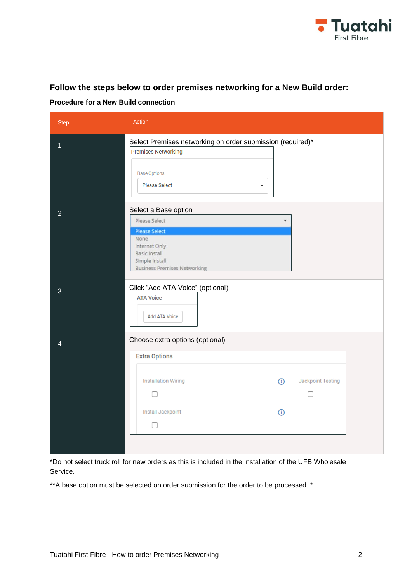

#### **Follow the steps below to order premises networking for a New Build order:**

**Procedure for a New Build connection**

| <b>Step</b>    | Action                                                                                                                                                                       |
|----------------|------------------------------------------------------------------------------------------------------------------------------------------------------------------------------|
| 1              | Select Premises networking on order submission (required)*<br><b>Premises Networking</b><br><b>Base Options</b><br><b>Please Select</b><br>$\overline{\phantom{a}}$          |
| $\overline{2}$ | Select a Base option<br>Please Select<br>٠<br><b>Please Select</b><br>None<br>Internet Only<br><b>Basic Install</b><br>Simple Install<br><b>Business Premises Networking</b> |
| 3              | Click "Add ATA Voice" (optional)<br><b>ATA Voice</b><br>Add ATA Voice                                                                                                        |
| 4              | Choose extra options (optional)<br><b>Extra Options</b><br>Jackpoint Testing<br><b>Installation Wiring</b><br>ന<br>Install Jackpoint<br>G)<br>п                              |

\*Do not select truck roll for new orders as this is included in the installation of the UFB Wholesale Service.

\*\*A base option must be selected on order submission for the order to be processed. \*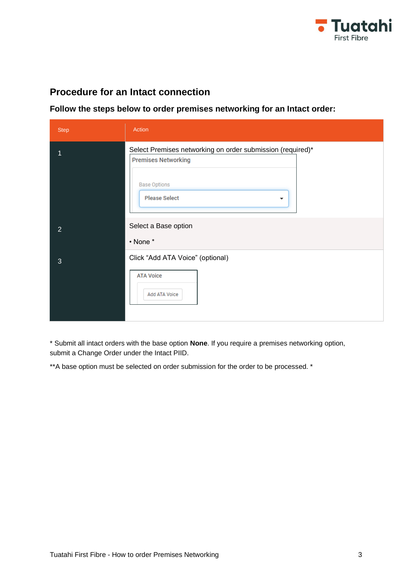

# **Procedure for an Intact connection**

**Follow the steps below to order premises networking for an Intact order:**

| <b>Step</b>    | Action                                                                                                                                                  |
|----------------|---------------------------------------------------------------------------------------------------------------------------------------------------------|
| 1              | Select Premises networking on order submission (required)*<br><b>Premises Networking</b><br><b>Base Options</b><br><b>Please Select</b><br>$\mathbf{r}$ |
| $\overline{2}$ | Select a Base option<br>• None *                                                                                                                        |
| 3              | Click "Add ATA Voice" (optional)<br><b>ATA Voice</b><br>Add ATA Voice                                                                                   |

\* Submit all intact orders with the base option **None**. If you require a premises networking option, submit a Change Order under the Intact PIID.

\*\*A base option must be selected on order submission for the order to be processed. \*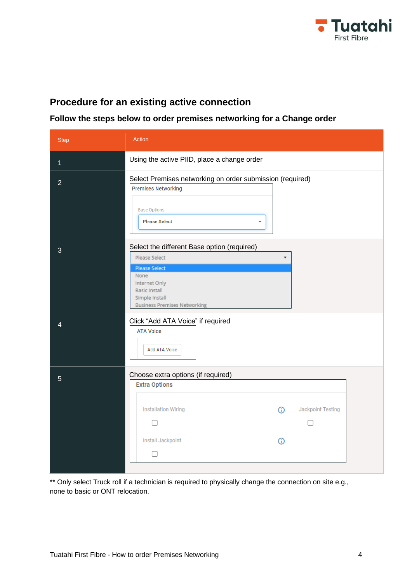

#### **Procedure for an existing active connection**

#### **Follow the steps below to order premises networking for a Change order**

| <b>Step</b>    | <b>Action</b>                                                                                                                                                                                  |
|----------------|------------------------------------------------------------------------------------------------------------------------------------------------------------------------------------------------|
| 1              | Using the active PIID, place a change order                                                                                                                                                    |
| $\overline{2}$ | Select Premises networking on order submission (required)<br><b>Premises Networking</b><br><b>Base Options</b><br><b>Please Select</b><br>÷                                                    |
| 3              | Select the different Base option (required)<br>Please Select<br><b>Please Select</b><br>None<br>Internet Only<br><b>Basic Install</b><br>Simple Install<br><b>Business Premises Networking</b> |
| 4              | Click "Add ATA Voice" if required<br><b>ATA Voice</b><br>Add ATA Voice                                                                                                                         |
| $\overline{5}$ | Choose extra options (if required)<br><b>Extra Options</b><br><b>Installation Wiring</b><br>Jackpoint Testing<br>$\odot$<br>Install Jackpoint<br>G<br>П                                        |

\*\* Only select Truck roll if a technician is required to physically change the connection on site e.g., none to basic or ONT relocation.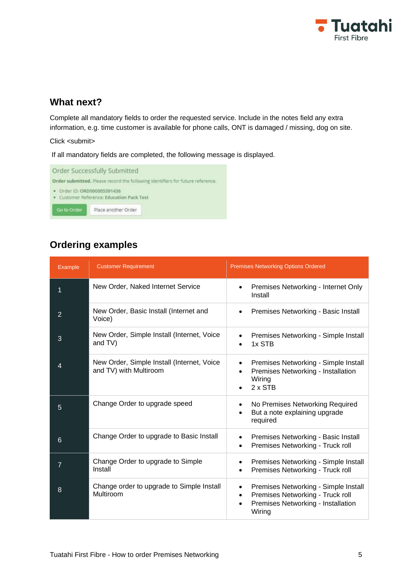

### **What next?**

Complete all mandatory fields to order the requested service. Include in the notes field any extra information, e.g. time customer is available for phone calls, ONT is damaged / missing, dog on site.

Click <submit>

If all mandatory fields are completed, the following message is displayed.



# **Ordering examples**

| Example        | <b>Customer Requirement</b>                                          | <b>Premises Networking Options Ordered</b>                                                                                                                      |
|----------------|----------------------------------------------------------------------|-----------------------------------------------------------------------------------------------------------------------------------------------------------------|
| 1              | New Order, Naked Internet Service                                    | Premises Networking - Internet Only<br>$\bullet$<br>Install                                                                                                     |
| $\overline{2}$ | New Order, Basic Install (Internet and<br>Voice)                     | Premises Networking - Basic Install<br>$\bullet$                                                                                                                |
| 3              | New Order, Simple Install (Internet, Voice<br>and TV)                | Premises Networking - Simple Install<br>1x STB                                                                                                                  |
| 4              | New Order, Simple Install (Internet, Voice<br>and TV) with Multiroom | Premises Networking - Simple Install<br>$\bullet$<br>Premises Networking - Installation<br>$\bullet$<br>Wiring<br>$2 \times STB$                                |
| 5              | Change Order to upgrade speed                                        | No Premises Networking Required<br>٠<br>But a note explaining upgrade<br>$\bullet$<br>required                                                                  |
| $6\phantom{1}$ | Change Order to upgrade to Basic Install                             | Premises Networking - Basic Install<br>$\bullet$<br>Premises Networking - Truck roll<br>$\bullet$                                                               |
| $\overline{7}$ | Change Order to upgrade to Simple<br>Install                         | Premises Networking - Simple Install<br>Premises Networking - Truck roll<br>$\bullet$                                                                           |
| 8              | Change order to upgrade to Simple Install<br>Multiroom               | Premises Networking - Simple Install<br>$\bullet$<br>Premises Networking - Truck roll<br>$\bullet$<br>Premises Networking - Installation<br>$\bullet$<br>Wiring |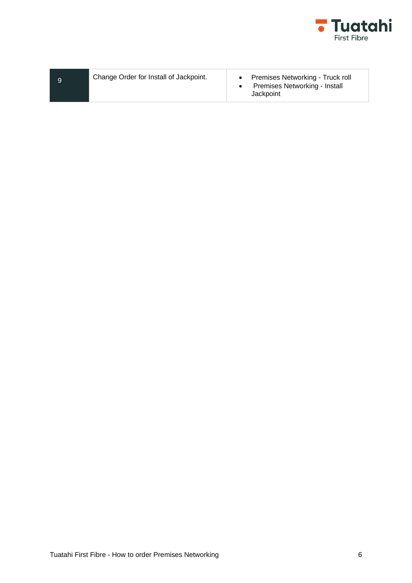

|  | Change Order for Install of Jackpoint. | Premises Networking - Truck roll<br>Premises Networking - Install<br>Jackpoint |
|--|----------------------------------------|--------------------------------------------------------------------------------|
|--|----------------------------------------|--------------------------------------------------------------------------------|